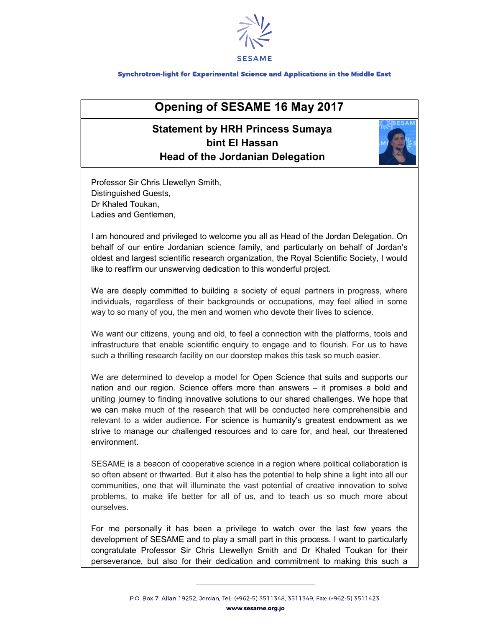

Synchrotron-light for Experimental Science and Applications in the Middle East

## Opening of SESAME 16 May 2017

## Statement by HRH Princess Sumaya bint El Hassan Head of the Jordanian Delegation



Professor Sir Chris Llewellyn Smith, Distinguished Guests, Dr Khaled Toukan, Ladies and Gentlemen,

I am honoured and privileged to welcome you all as Head of the Jordan Delegation. On behalf of our entire Jordanian science family, and particularly on behalf of Jordan's oldest and largest scientific research organization, the Royal Scientific Society, I would like to reaffirm our unswerving dedication to this wonderful project.

We are deeply committed to building a society of equal partners in progress, where individuals, regardless of their backgrounds or occupations, may feel allied in some way to so many of you, the men and women who devote their lives to science.

We want our citizens, young and old, to feel a connection with the platforms, tools and infrastructure that enable scientific enquiry to engage and to flourish. For us to have such a thrilling research facility on our doorstep makes this task so much easier.

We are determined to develop a model for Open Science that suits and supports our nation and our region. Science offers more than answers – it promises a bold and uniting journey to finding innovative solutions to our shared challenges. We hope that we can make much of the research that will be conducted here comprehensible and relevant to a wider audience. For science is humanity's greatest endowment as we strive to manage our challenged resources and to care for, and heal, our threatened environment.

SESAME is a beacon of cooperative science in a region where political collaboration is so often absent or thwarted. But it also has the potential to help shine a light into all our communities, one that will illuminate the vast potential of creative innovation to solve problems, to make life better for all of us, and to teach us so much more about ourselves.

For me personally it has been a privilege to watch over the last few years the development of SESAME and to play a small part in this process. I want to particularly congratulate Professor Sir Chris Llewellyn Smith and Dr Khaled Toukan for their perseverance, but also for their dedication and commitment to making this such a